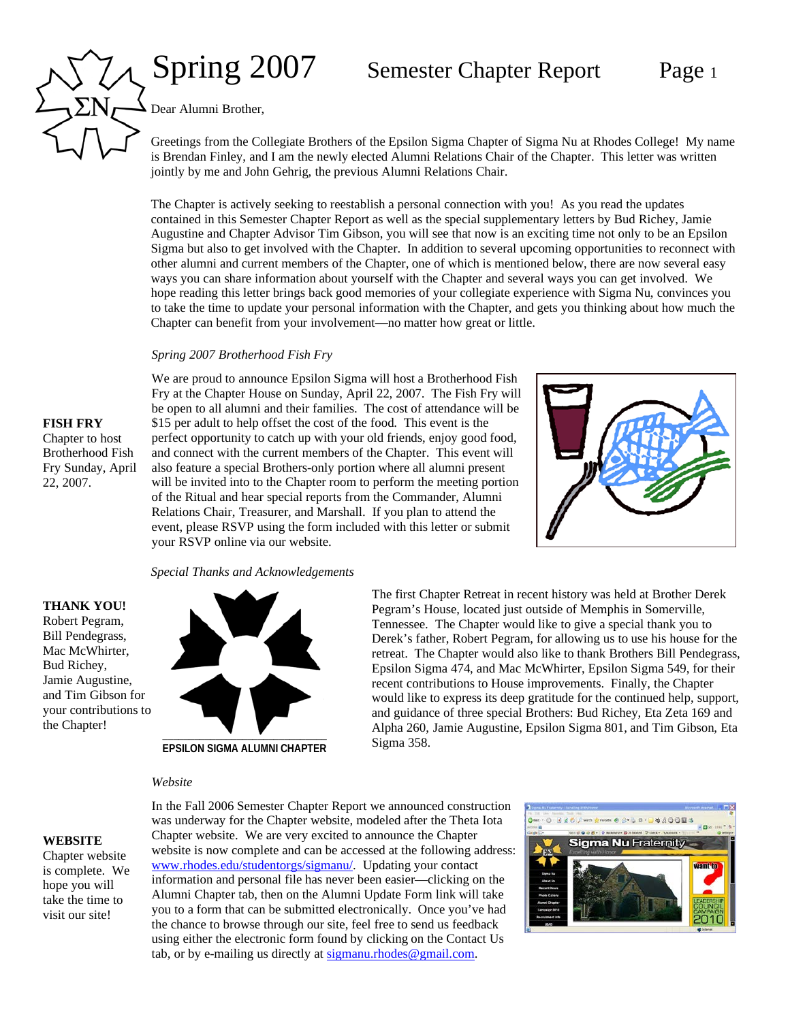# Spring 2007 Semester Chapter Report Page 1

Dear Alumni Brother,

Greetings from the Collegiate Brothers of the Epsilon Sigma Chapter of Sigma Nu at Rhodes College! My name is Brendan Finley, and I am the newly elected Alumni Relations Chair of the Chapter. This letter was written jointly by me and John Gehrig, the previous Alumni Relations Chair.

The Chapter is actively seeking to reestablish a personal connection with you! As you read the updates contained in this Semester Chapter Report as well as the special supplementary letters by Bud Richey, Jamie Augustine and Chapter Advisor Tim Gibson, you will see that now is an exciting time not only to be an Epsilon Sigma but also to get involved with the Chapter. In addition to several upcoming opportunities to reconnect with other alumni and current members of the Chapter, one of which is mentioned below, there are now several easy ways you can share information about yourself with the Chapter and several ways you can get involved. We hope reading this letter brings back good memories of your collegiate experience with Sigma Nu, convinces you to take the time to update your personal information with the Chapter, and gets you thinking about how much the Chapter can benefit from your involvement—no matter how great or little.

# *Spring 2007 Brotherhood Fish Fry*

We are proud to announce Epsilon Sigma will host a Brotherhood Fish Fry at the Chapter House on Sunday, April 22, 2007. The Fish Fry will be open to all alumni and their families. The cost of attendance will be \$15 per adult to help offset the cost of the food. This event is the perfect opportunity to catch up with your old friends, enjoy good food, and connect with the current members of the Chapter. This event will also feature a special Brothers-only portion where all alumni present will be invited into to the Chapter room to perform the meeting portion of the Ritual and hear special reports from the Commander, Alumni Relations Chair, Treasurer, and Marshall. If you plan to attend the event, please RSVP using the form included with this letter or submit your RSVP online via our website.



The first Chapter Retreat in recent history was held at Brother Derek Pegram's House, located just outside of Memphis in Somerville, Tennessee. The Chapter would like to give a special thank you to Derek's father, Robert Pegram, for allowing us to use his house for the retreat. The Chapter would also like to thank Brothers Bill Pendegrass, Epsilon Sigma 474, and Mac McWhirter, Epsilon Sigma 549, for their recent contributions to House improvements. Finally, the Chapter would like to express its deep gratitude for the continued help, support, and guidance of three special Brothers: Bud Richey, Eta Zeta 169 and Alpha 260, Jamie Augustine, Epsilon Sigma 801, and Tim Gibson, Eta

### *Special Thanks and Acknowledgements*

**THANK YOU!** Robert Pegram, Bill Pendegrass, Mac McWhirter, Bud Richey, Jamie Augustine, and Tim Gibson for your contributions to



**EPSILON SIGMA ALUMNI CHAPTER**

## *Website*

**WEBSITE**

the Chapter!

Chapter website is complete. We hope you will take the time to visit our site!

Sigma 358. In the Fall 2006 Semester Chapter Report we announced construction was underway for the Chapter website, modeled after the Theta Iota Chapter website. We are very excited to announce the Chapter website is now complete and can be accessed at the following address: [www.rhodes.edu/studentorgs/sigmanu/.](http://www.rhodes.edu/studentorgs/sigmanu/) Updating your contact information and personal file has never been easier—clicking on the Alumni Chapter tab, then on the Alumni Update Form link will take you to a form that can be submitted electronically. Once you've had

the chance to browse through our site, feel free to send us feedback using either the electronic form found by clicking on the Contact Us tab, or by e-mailing us directly at [sigmanu.rhodes@gmail.com.](mailto:sigmanu.rhodes@gmail.com)



# **FISH FRY** Chapter to host

Brotherhood Fish Fry Sunday, April 22, 2007.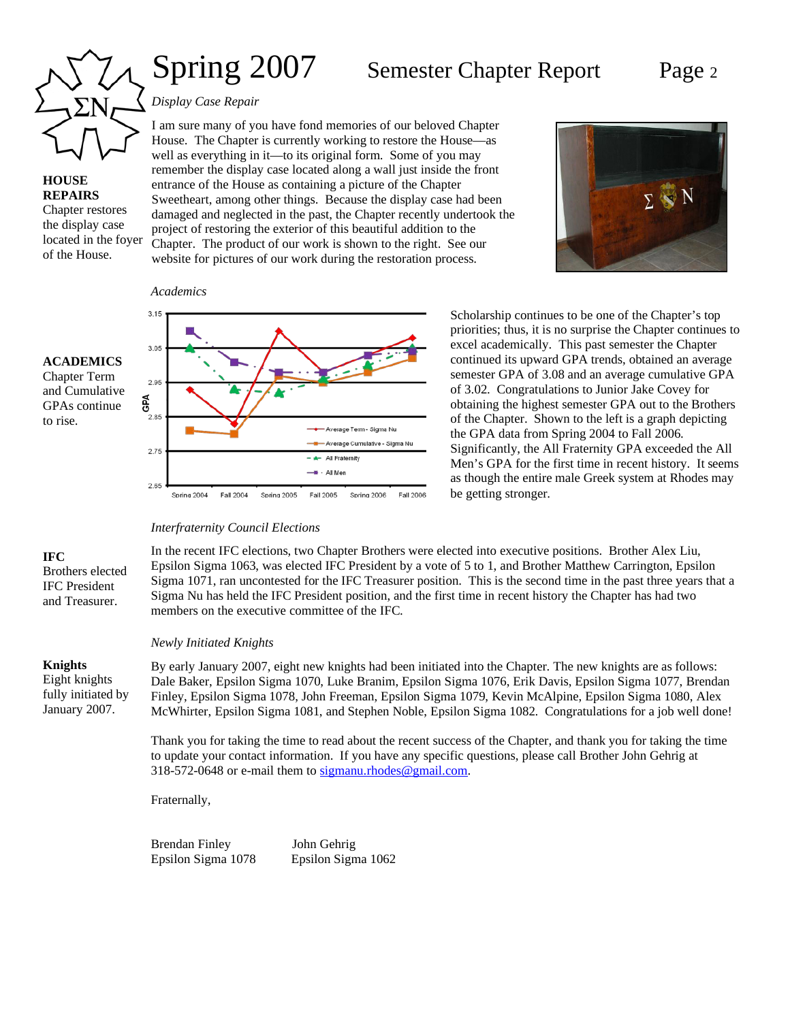

**HOUSE REPAIRS** Chapter restores the display case

# Spring 2007 Semester Chapter Report Page 2

# *Display Case Repair*

I am sure many of you have fond memories of our beloved Chapter House. The Chapter is currently working to restore the House—as well as everything in it—to its original form. Some of you may remember the display case located along a wall just inside the front entrance of the House as containing a picture of the Chapter Sweetheart, among other things. Because the display case had been damaged and neglected in the past, the Chapter recently undertook the project of restoring the exterior of this beautiful addition to the Chapter. The product of our work is shown to the right. See our website for pictures of our work during the restoration process. located in the foyer



*Academics*



Scholarship continues to be one of the Chapter's top priorities; thus, it is no surprise the Chapter continues to excel academically. This past semester the Chapter continued its upward GPA trends, obtained an average semester GPA of 3.08 and an average cumulative GPA of 3.02. Congratulations to Junior Jake Covey for obtaining the highest semester GPA out to the Brothers of the Chapter. Shown to the left is a graph depicting the GPA data from Spring 2004 to Fall 2006. Significantly, the All Fraternity GPA exceeded the All Men's GPA for the first time in recent history. It seems as though the entire male Greek system at Rhodes may be getting stronger.

# **ACADEMICS**

of the House.

Chapter Term and Cumulative GPAs continue to rise.

# *Interfraternity Council Elections*

In the recent IFC elections, two Chapter Brothers were elected into executive positions. Brother Alex Liu, Epsilon Sigma 1063, was elected IFC President by a vote of 5 to 1, and Brother Matthew Carrington, Epsilon Sigma 1071, ran uncontested for the IFC Treasurer position. This is the second time in the past three years that a Sigma Nu has held the IFC President position, and the first time in recent history the Chapter has had two members on the executive committee of the IFC.

## *Newly Initiated Knights*

# **Knights** Eight knights fully initiated by January 2007.

Brothers elected IFC President and Treasurer.

**IFC**

By early January 2007, eight new knights had been initiated into the Chapter. The new knights are as follows: Dale Baker, Epsilon Sigma 1070, Luke Branim, Epsilon Sigma 1076, Erik Davis, Epsilon Sigma 1077, Brendan Finley, Epsilon Sigma 1078, John Freeman, Epsilon Sigma 1079, Kevin McAlpine, Epsilon Sigma 1080, Alex McWhirter, Epsilon Sigma 1081, and Stephen Noble, Epsilon Sigma 1082. Congratulations for a job well done!

Thank you for taking the time to read about the recent success of the Chapter, and thank you for taking the time to update your contact information. If you have any specific questions, please call Brother John Gehrig at 318-572-0648 or e-mail them to [sigmanu.rhodes@gmail.com.](mailto:sigmanu.rhodes@gmail.com)

Fraternally,

Brendan Finley John Gehrig Epsilon Sigma 1078 Epsilon Sigma 1062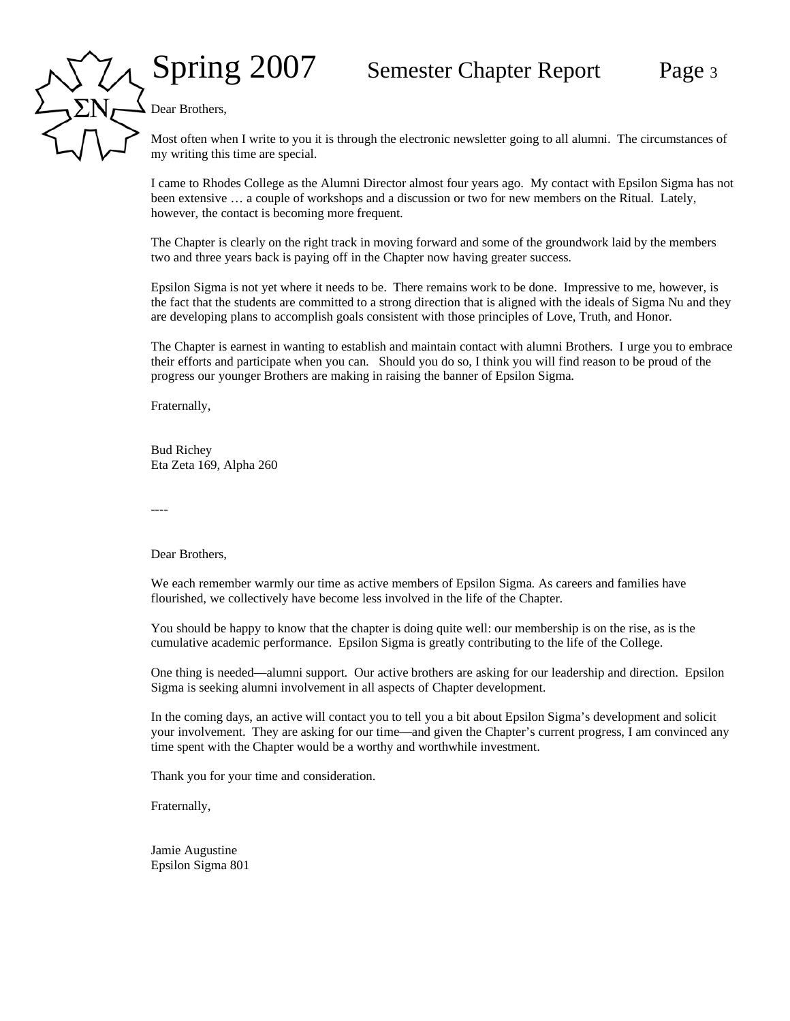Dear Brothers,

Most often when I write to you it is through the electronic newsletter going to all alumni. The circumstances of my writing this time are special.

I came to Rhodes College as the Alumni Director almost four years ago. My contact with Epsilon Sigma has not been extensive … a couple of workshops and a discussion or two for new members on the Ritual. Lately, however, the contact is becoming more frequent.

The Chapter is clearly on the right track in moving forward and some of the groundwork laid by the members two and three years back is paying off in the Chapter now having greater success.

Epsilon Sigma is not yet where it needs to be. There remains work to be done. Impressive to me, however, is the fact that the students are committed to a strong direction that is aligned with the ideals of Sigma Nu and they are developing plans to accomplish goals consistent with those principles of Love, Truth, and Honor.

The Chapter is earnest in wanting to establish and maintain contact with alumni Brothers. I urge you to embrace their efforts and participate when you can. Should you do so, I think you will find reason to be proud of the progress our younger Brothers are making in raising the banner of Epsilon Sigma.

Fraternally,

Bud Richey Eta Zeta 169, Alpha 260

----

Dear Brothers,

We each remember warmly our time as active members of Epsilon Sigma. As careers and families have flourished, we collectively have become less involved in the life of the Chapter.

You should be happy to know that the chapter is doing quite well: our membership is on the rise, as is the cumulative academic performance. Epsilon Sigma is greatly contributing to the life of the College.

One thing is needed—alumni support. Our active brothers are asking for our leadership and direction. Epsilon Sigma is seeking alumni involvement in all aspects of Chapter development.

In the coming days, an active will contact you to tell you a bit about Epsilon Sigma's development and solicit your involvement. They are asking for our time—and given the Chapter's current progress, I am convinced any time spent with the Chapter would be a worthy and worthwhile investment.

Thank you for your time and consideration.

Fraternally,

Jamie Augustine Epsilon Sigma 801